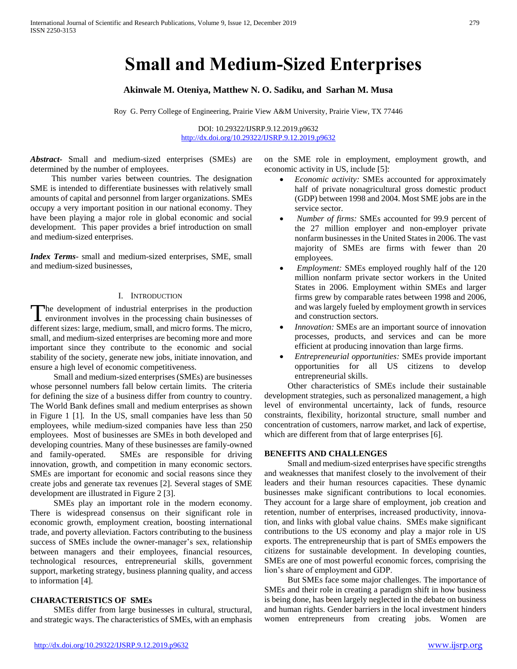# **Small and Medium-Sized Enterprises**

## **Akinwale M. Oteniya, Matthew N. O. Sadiku, and Sarhan M. Musa**

Roy G. Perry College of Engineering, Prairie View A&M University, Prairie View, TX 77446

DOI: 10.29322/IJSRP.9.12.2019.p9632 <http://dx.doi.org/10.29322/IJSRP.9.12.2019.p9632>

*Abstract***-** Small and medium-sized enterprises (SMEs) are determined by the number of employees.

 This number varies between countries. The designation SME is intended to differentiate businesses with relatively small amounts of capital and personnel from larger organizations. SMEs occupy a very important position in our national economy. They have been playing a major role in global economic and social development. This paper provides a brief introduction on small and medium-sized enterprises.

*Index Terms*- small and medium-sized enterprises, SME, small and medium-sized businesses,

## I. INTRODUCTION

he development of industrial enterprises in the production The development of industrial enterprises in the production<br>neuronment involves in the processing chain businesses of different sizes: large, medium, small, and micro forms. The micro, small, and medium-sized enterprises are becoming more and more important since they contribute to the economic and social stability of the society, generate new jobs, initiate innovation, and ensure a high level of economic competitiveness.

 Small and medium-sized enterprises(SMEs) are businesses whose personnel numbers fall below certain limits. The criteria for defining the size of a business differ from country to country. The World Bank defines small and medium enterprises as shown in Figure 1 [1]. In the US, small companies have less than 50 employees, while medium-sized companies have less than 250 employees. Most of businesses are SMEs in both developed and developing countries. Many of these businesses are family-owned and family-operated. SMEs are responsible for driving innovation, growth, and competition in many economic sectors. SMEs are important for economic and social reasons since they create jobs and generate tax revenues [2]. Several stages of SME development are illustrated in Figure 2 [3].

 SMEs play an important role in the modern economy. There is widespread consensus on their significant role in economic growth, employment creation, boosting international trade, and poverty alleviation. Factors contributing to the business success of SMEs include the owner-manager's sex, relationship between managers and their employees, financial resources, technological resources, entrepreneurial skills, government support, marketing strategy, business planning quality, and access to information [4].

# **CHARACTERISTICS OF SMEs**

 SMEs differ from large businesses in cultural, structural, and strategic ways. The characteristics of SMEs, with an emphasis on the SME role in employment, employment growth, and economic activity in US, include [5]:

- *Economic activity:* SMEs accounted for approximately half of private nonagricultural gross domestic product (GDP) between 1998 and 2004. Most SME jobs are in the service sector.
- *Number of firms:* SMEs accounted for 99.9 percent of the 27 million employer and non-employer private nonfarm businesses in the United States in 2006. The vast majority of SMEs are firms with fewer than 20 employees.
- *Employment:* SMEs employed roughly half of the 120 million nonfarm private sector workers in the United States in 2006. Employment within SMEs and larger firms grew by comparable rates between 1998 and 2006, and was largely fueled by employment growth in services and construction sectors.
- *Innovation:* SMEs are an important source of innovation processes, products, and services and can be more efficient at producing innovation than large firms.
- *Entrepreneurial opportunities:* SMEs provide important opportunities for all US citizens to develop entrepreneurial skills.

 Other characteristics of SMEs include their sustainable development strategies, such as personalized management, a high level of environmental uncertainty, lack of funds, resource constraints, flexibility, horizontal structure, small number and concentration of customers, narrow market, and lack of expertise, which are different from that of large enterprises [6].

## **BENEFITS AND CHALLENGES**

 Small and medium-sized enterprises have specific strengths and weaknesses that manifest closely to the involvement of their leaders and their human resources capacities. These dynamic businesses make significant contributions to local economies. They account for a large share of employment, job creation and retention, number of enterprises, increased productivity, innovation, and links with global value chains. SMEs make significant contributions to the US economy and play a major role in US exports. The entrepreneurship that is part of SMEs empowers the citizens for sustainable development. In developing counties, SMEs are one of most powerful economic forces, comprising the lion's share of employment and GDP.

 But SMEs face some major challenges. The importance of SMEs and their role in creating a paradigm shift in how business is being done, has been largely neglected in the debate on business and human rights. Gender barriers in the local investment hinders women entrepreneurs from creating jobs. Women are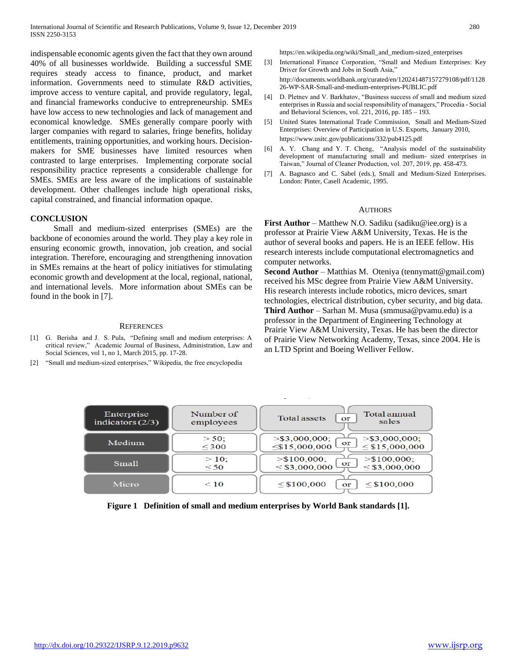indispensable economic agents given the fact that they own around 40% of all businesses worldwide. Building a successful SME requires steady access to finance, product, and market information. Governments need to stimulate R&D activities, improve access to venture capital, and provide regulatory, legal, and financial frameworks conducive to entrepreneurship. SMEs have low access to new technologies and lack of management and economical knowledge. SMEs generally compare poorly with larger companies with regard to salaries, fringe benefits, holiday entitlements, training opportunities, and working hours. Decisionmakers for SME businesses have limited resources when contrasted to large enterprises. Implementing corporate social responsibility practice represents a considerable challenge for SMEs. SMEs are less aware of the implications of sustainable development. Other challenges include high operational risks, capital constrained, and financial information opaque.

## **CONCLUSION**

 Small and medium-sized enterprises (SMEs) are the backbone of economies around the world. They play a key role in ensuring economic growth, innovation, job creation, and social integration. Therefore, encouraging and strengthening innovation in SMEs remains at the heart of policy initiatives for stimulating economic growth and development at the local, regional, national, and international levels. More information about SMEs can be found in the book in [7].

#### **REFERENCES**

- [1] G. Berisha and J. S. Pula, "Defining small and medium enterprises: A critical review," Academic Journal of Business, Administration, Law and Social Sciences, vol 1, no 1, March 2015, pp. 17-28.
- "Small and medium-sized enterprises," Wikipedia, the free encyclopedia

https://en.wikipedia.org/wiki/Small\_and\_medium-sized\_enterprises

- [3] International Finance Corporation, "Small and Medium Enterprises: Key Driver for Growth and Jobs in South Asia," http://documents.worldbank.org/curated/en/120241487157279108/pdf/1128 26-WP-SAR-Small-and-medium-enterprises-PUBLIC.pdf
- [4] D. Pletnev and V. Barkhatov, "Business success of small and medium sized enterprises in Russia and social responsibility of managers," Procedia - Social and Behavioral Sciences, vol. 221, 2016, pp. 185 – 193.
- [5] United States International Trade Commission, Small and Medium-Sized Enterprises: Overview of Participation in U.S. Exports, January 2010, https://www.usitc.gov/publications/332/pub4125.pdf
- [6] A. Y. Chang and Y. T. Cheng, "Analysis model of the sustainability development of manufacturing small and medium- sized enterprises in Taiwan," Journal of Cleaner Production, vol. 207, 2019, pp. 458-473.
- [7] A. Bagnasco and C. Sabel (eds.), Small and Medium-Sized Enterprises. London: Pinter, Casell Academic, 1995.

#### AUTHORS

**First Author** – Matthew N.O. Sadiku (sadiku@iee.org) is a professor at Prairie View A&M University, Texas. He is the author of several books and papers. He is an IEEE fellow. His research interests include computational electromagnetics and computer networks.

**Second Author** – Matthias M. Oteniya (tennymatt@gmail.com) received his MSc degree from Prairie View A&M University. His research interests include robotics, micro devices, smart technologies, electrical distribution, cyber security, and big data. **Third Author** – Sarhan M. Musa (smmusa@pvamu.edu) is a professor in the Department of Engineering Technology at Prairie View A&M University, Texas. He has been the director of Prairie View Networking Academy, Texas, since 2004. He is an LTD Sprint and Boeing Welliver Fellow.

| Enterprise<br>indicators $(2/3)$ | Number of<br>employees | Total annual<br><b>Total assets</b><br>or<br>sales                                       |
|----------------------------------|------------------------|------------------------------------------------------------------------------------------|
| Medium                           | $> 50$ :<br>$<$ 300    | $>$ \$3,000,000:<br>$>$ \$3,000,000:<br>or<br>$\leq$ \$15,000,000<br>$\leq$ \$15,000,000 |
| <b>Small</b>                     | $>10$ :<br>$\leq 50$   | $>$ \$100,000:<br>$>$ \$100,000:<br>or<br>$\leq$ \$3,000,000<br>$\leq$ \$3,000,000       |
| Micro                            | $\leq 10$              | $\leq$ \$100,000<br>$\leq$ \$100,000<br>or                                               |

**Figure 1 Definition of small and medium enterprises by World Bank standards [1].**